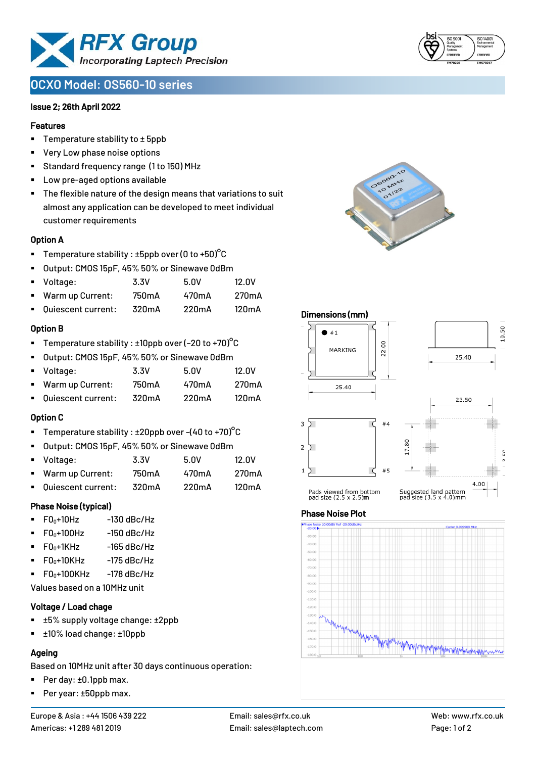

# **OCXO Model: OS560-10 series**

#### Issue 2; 26th April 2022

#### Features

- Temperature stability to  $\pm$  5ppb
- Very Low phase noise options
- Standard frequency range (1 to 150) MHz
- Low pre-aged options available
- The flexible nature of the design means that variations to suit almost any application can be developed to meet individual customer requirements

#### Option A

- **•** Temperature stability :  $\pm 5$ ppb over (0 to  $\pm 50$ )<sup>o</sup>C
- Output: CMOS 15pF, 45% 50% or Sinewave 0dBm
- Voltage: 3.3V 5.0V 12.0V
- Warm up Current: 750mA 470mA 270mA
- Quiescent current: 320mA 220mA 120mA

#### Option B

- **•** Temperature stability :  $\pm 10$ ppb over (-20 to +70)<sup>o</sup>C
- Output: CMOS 15pF, 45% 50% or Sinewave 0dBm
- Voltage: 3.3V 5.0V 12.0V Warm up Current: 750mA 470mA 270mA ▪ Quiescent current: 320mA 220mA 120mA

## Option C

- Temperature stability :  $\pm 20$ ppb over -(40 to +70)°C
- Output: CMOS 15pF, 45% 50% or Sinewave 0dBm
- Voltage: 3.3V 5.0V 12.0V Warm up Current: 750mA 470mA 270mA ▪ Quiescent current: 320mA 220mA 120mA

#### Phase Noise (typical)

- $\blacksquare$  F0 $\scriptstyle{0+10}$ Hz  $\blacksquare$  -130 dBc/Hz
- $F0_0+100$ Hz  $-150$  dBc/Hz
- $F0_0+1$ KHz  $-165$  dBc/Hz
- $\blacksquare$  F0 $\scriptstyle\bullet$ +10KHz -175 dBc/Hz
- $F0_0+100K$ Hz  $-178$  dBc/Hz

Values based on a 10MHz unit

## Voltage / Load chage

- ±5% supply voltage change: ±2ppb
- ±10% load change: ±10ppb

## Ageing

Based on 10MHz unit after 30 days continuous operation:

- Per day: ±0.1ppb max.
- Per year: ±50ppb max.